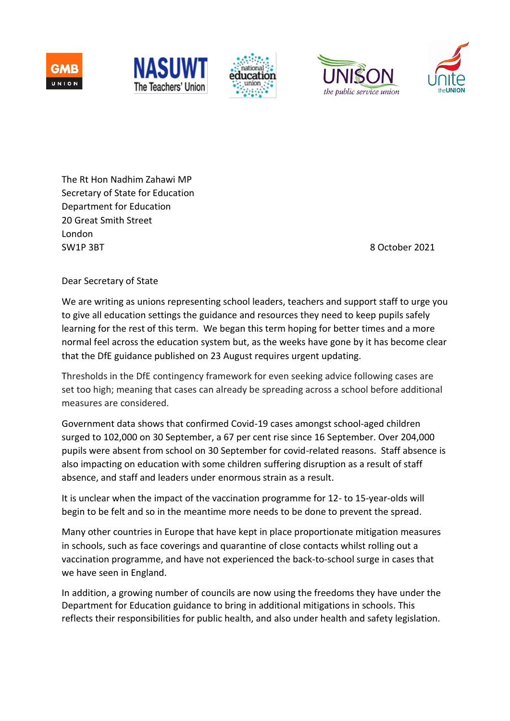









The Rt Hon Nadhim Zahawi MP Secretary of State for Education Department for Education 20 Great Smith Street London SW1P 3BT 8 October 2021

## Dear Secretary of State

We are writing as unions representing school leaders, teachers and support staff to urge you to give all education settings the guidance and resources they need to keep pupils safely learning for the rest of this term. We began this term hoping for better times and a more normal feel across the education system but, as the weeks have gone by it has become clear that the DfE guidance published on 23 August requires urgent updating.

Thresholds in the DfE contingency framework for even seeking advice following cases are set too high; meaning that cases can already be spreading across a school before additional measures are considered.

Government data shows that confirmed Covid-19 cases amongst school-aged children surged to 102,000 on 30 September, a 67 per cent rise since 16 September. Over 204,000 pupils were absent from school on 30 September for covid-related reasons. Staff absence is also impacting on education with some children suffering disruption as a result of staff absence, and staff and leaders under enormous strain as a result.

It is unclear when the impact of the vaccination programme for 12- to 15-year-olds will begin to be felt and so in the meantime more needs to be done to prevent the spread.

Many other countries in Europe that have kept in place proportionate mitigation measures in schools, such as face coverings and quarantine of close contacts whilst rolling out a vaccination programme, and have not experienced the back-to-school surge in cases that we have seen in England.

In addition, a growing number of councils are now using the freedoms they have under the Department for Education guidance to bring in additional mitigations in schools. This reflects their responsibilities for public health, and also under health and safety legislation.